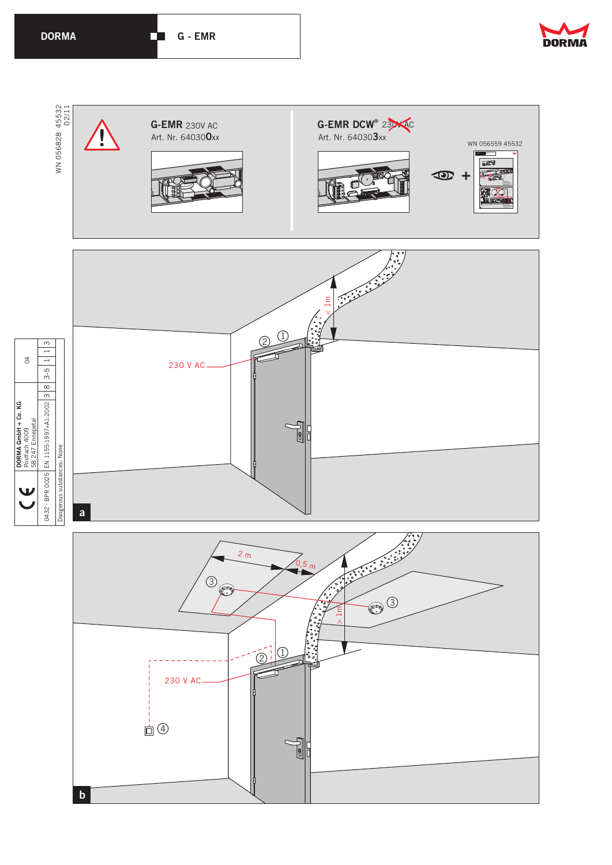

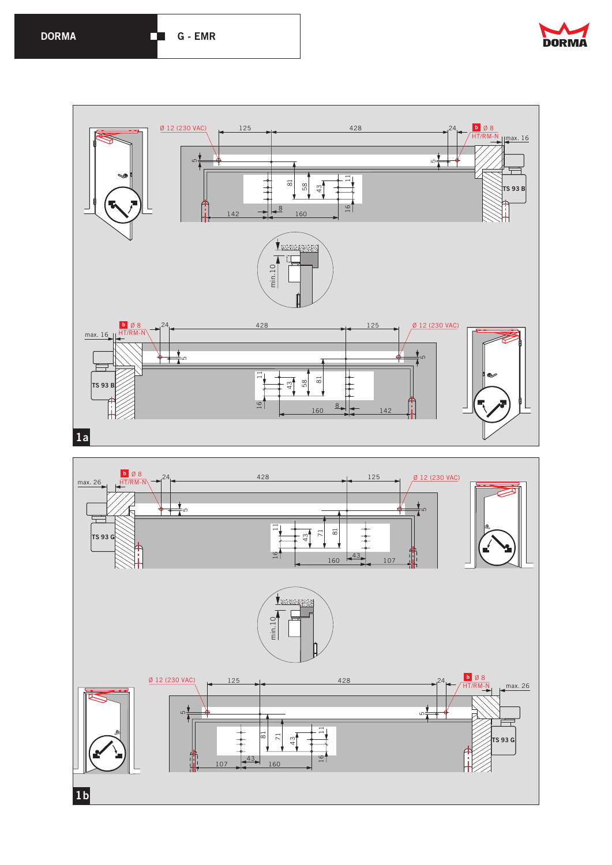



**1b**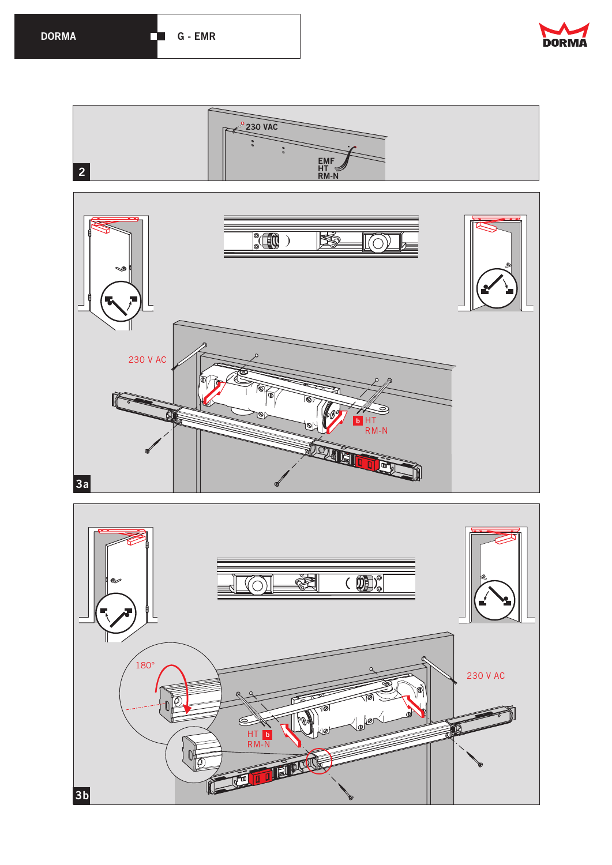

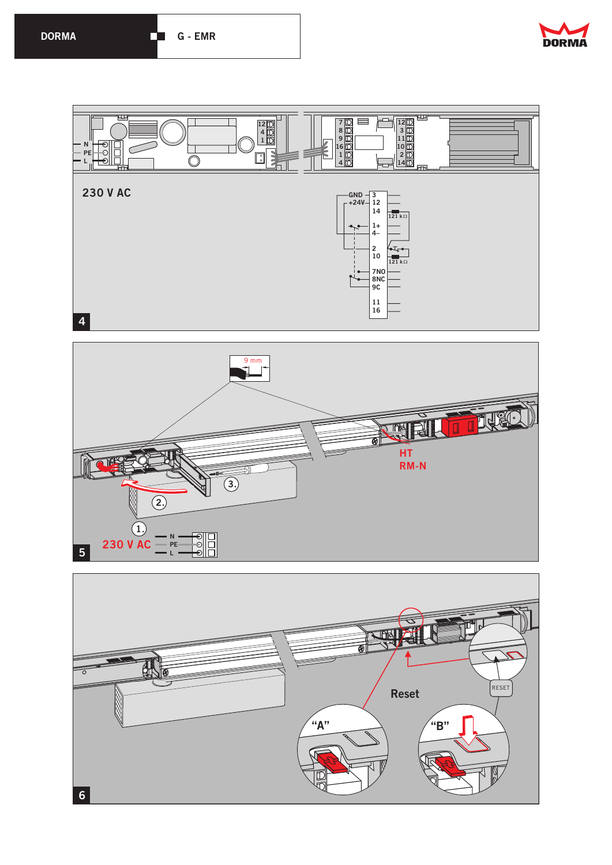



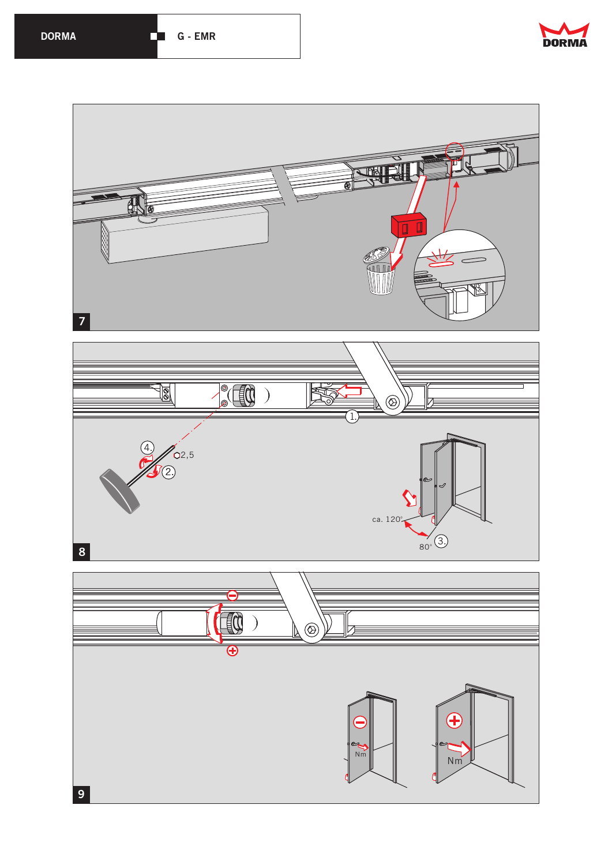